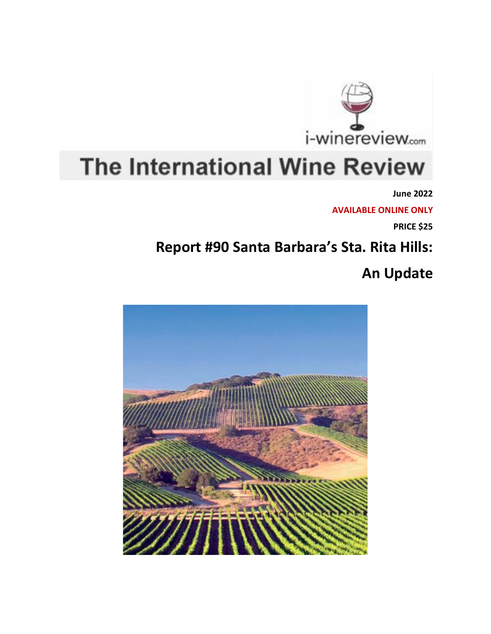

## **The International Wine Review**

**June 2022**

**AVAILABLE ONLINE ONLY**

**PRICE \$25**

## **Report #90 Santa Barbara's Sta. Rita Hills:**

## **An Update**

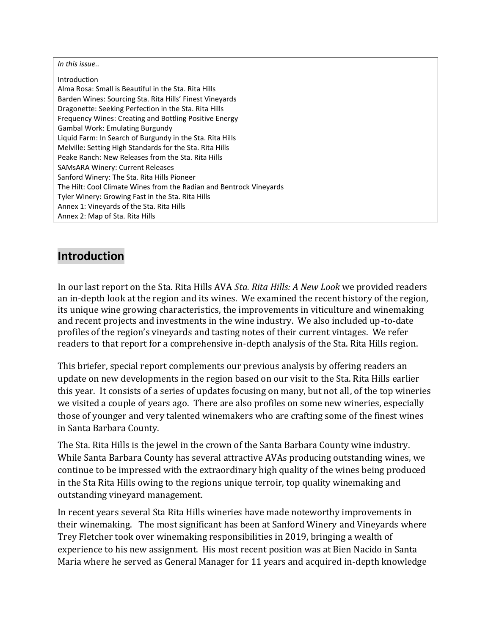*In this issue..*

Introduction Alma Rosa: Small is Beautiful in the Sta. Rita Hills Barden Wines: Sourcing Sta. Rita Hills' Finest Vineyards Dragonette: Seeking Perfection in the Sta. Rita Hills Frequency Wines: Creating and Bottling Positive Energy Gambal Work: Emulating Burgundy Liquid Farm: In Search of Burgundy in the Sta. Rita Hills Melville: Setting High Standards for the Sta. Rita Hills Peake Ranch: New Releases from the Sta. Rita Hills SAMsARA Winery: Current Releases Sanford Winery: The Sta. Rita Hills Pioneer The Hilt: Cool Climate Wines from the Radian and Bentrock Vineyards Tyler Winery: Growing Fast in the Sta. Rita Hills Annex 1: Vineyards of the Sta. Rita Hills Annex 2: Map of Sta. Rita Hills

## **Introduction**

In our last report on the Sta. Rita Hills AVA *Sta. Rita [Hills:](https://i-winereview.com/pdfholder.php?report=R82) A New Look* we provided readers an in-depth look at the region and its wines. We examined the recent history of the region, its unique wine growing characteristics, the improvements in viticulture and winemaking and recent projects and investments in the wine industry. We also included up-to-date profiles of the region's vineyards and tasting notes of their current vintages. We refer readers to that report for a comprehensive in-depth analysis of the Sta. Rita Hills region.

This briefer, special report complements our previous analysis by offering readers an update on new developments in the region based on our visit to the Sta. Rita Hills earlier this year. It consists of a series of updates focusing on many, but not all, of the top wineries we visited a couple of years ago. There are also profiles on some new wineries, especially those of younger and very talented winemakers who are crafting some of the finest wines in Santa Barbara County.

The Sta. Rita Hills is the jewel in the crown of the Santa Barbara County wine industry. While Santa Barbara County has several attractive AVAs producing outstanding wines, we continue to be impressed with the extraordinary high quality of the wines being produced in the Sta Rita Hills owing to the regions unique terroir, top quality winemaking and outstanding vineyard management.

In recent years several Sta Rita Hills wineries have made noteworthy improvements in their winemaking. The most significant has been at Sanford Winery and Vineyards where Trey Fletcher took over winemaking responsibilities in 2019, bringing a wealth of experience to his new assignment. His most recent position was at Bien Nacido in Santa Maria where he served as General Manager for 11 years and acquired in-depth knowledge